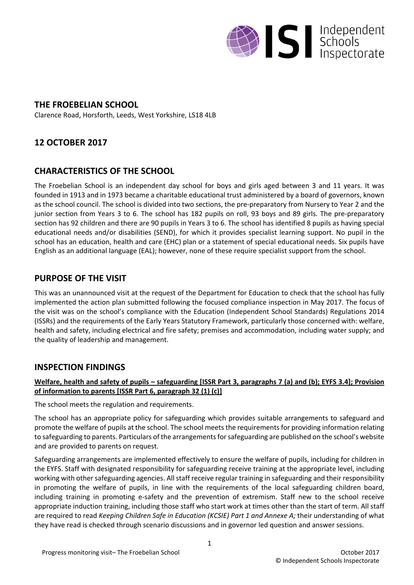

# **THE FROEBELIAN SCHOOL**

Clarence Road, Horsforth, Leeds, West Yorkshire, LS18 4LB

# **12 OCTOBER 2017**

# **CHARACTERISTICS OF THE SCHOOL**

The Froebelian School is an independent day school for boys and girls aged between 3 and 11 years. It was founded in 1913 and in 1973 became a charitable educational trust administered by a board of governors, known as the school council. The school is divided into two sections, the pre-preparatory from Nursery to Year 2 and the junior section from Years 3 to 6. The school has 182 pupils on roll, 93 boys and 89 girls. The pre-preparatory section has 92 children and there are 90 pupils in Years 3 to 6. The school has identified 8 pupils as having special educational needs and/or disabilities (SEND), for which it provides specialist learning support. No pupil in the school has an education, health and care (EHC) plan or a statement of special educational needs. Six pupils have English as an additional language (EAL); however, none of these require specialist support from the school.

# **PURPOSE OF THE VISIT**

This was an unannounced visit at the request of the Department for Education to check that the school has fully implemented the action plan submitted following the focused compliance inspection in May 2017. The focus of the visit was on the school's compliance with the Education (Independent School Standards) Regulations 2014 (ISSRs) and the requirements of the Early Years Statutory Framework, particularly those concerned with: welfare, health and safety, including electrical and fire safety; premises and accommodation, including water supply; and the quality of leadership and management.

### **INSPECTION FINDINGS**

### Welfare, health and safety of pupils – safeguarding [ISSR Part 3, paragraphs 7 (a) and (b); EYFS 3.4]; Provision **of information to parents [ISSR Part 6, paragraph 32 (1) (c)]**

The school meets the regulation and requirements.

The school has an appropriate policy for safeguarding which provides suitable arrangements to safeguard and promote the welfare of pupils at the school. The school meets the requirements for providing information relating to safeguarding to parents. Particulars of the arrangements for safeguarding are published on the school's website and are provided to parents on request.

Safeguarding arrangements are implemented effectively to ensure the welfare of pupils, including for children in the EYFS. Staff with designated responsibility for safeguarding receive training at the appropriate level, including working with other safeguarding agencies. All staff receive regular training in safeguarding and their responsibility in promoting the welfare of pupils, in line with the requirements of the local safeguarding children board, including training in promoting e-safety and the prevention of extremism. Staff new to the school receive appropriate induction training, including those staff who start work at times other than the start of term. All staff are required to read *Keeping Children Safe in Education (KCSIE) Part 1 and Annexe A;* their understanding of what they have read is checked through scenario discussions and in governor led question and answer sessions.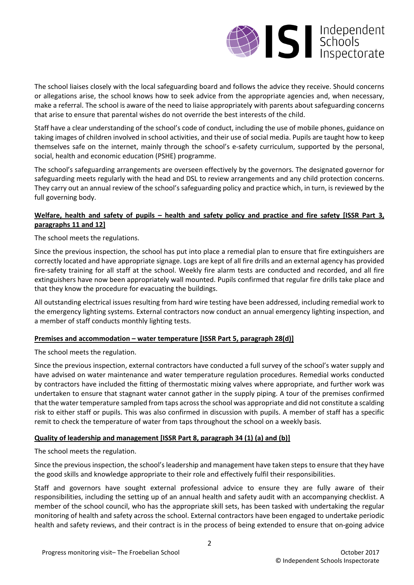

The school liaises closely with the local safeguarding board and follows the advice they receive. Should concerns or allegations arise, the school knows how to seek advice from the appropriate agencies and, when necessary, make a referral. The school is aware of the need to liaise appropriately with parents about safeguarding concerns that arise to ensure that parental wishes do not override the best interests of the child.

Staff have a clear understanding of the school's code of conduct, including the use of mobile phones, guidance on taking images of children involved in school activities, and their use of social media. Pupils are taught how to keep themselves safe on the internet, mainly through the school's e-safety curriculum, supported by the personal, social, health and economic education (PSHE) programme.

The school's safeguarding arrangements are overseen effectively by the governors. The designated governor for safeguarding meets regularly with the head and DSL to review arrangements and any child protection concerns. They carry out an annual review of the school's safeguarding policy and practice which, in turn, is reviewed by the full governing body.

### Welfare, health and safety of pupils - health and safety policy and practice and fire safety [ISSR Part 3, **paragraphs 11 and 12]**

The school meets the regulations.

Since the previous inspection, the school has put into place a remedial plan to ensure that fire extinguishers are correctly located and have appropriate signage. Logs are kept of all fire drills and an external agency has provided fire-safety training for all staff at the school. Weekly fire alarm tests are conducted and recorded, and all fire extinguishers have now been appropriately wall mounted. Pupils confirmed that regular fire drills take place and that they know the procedure for evacuating the buildings.

All outstanding electrical issues resulting from hard wire testing have been addressed, including remedial work to the emergency lighting systems. External contractors now conduct an annual emergency lighting inspection, and a member of staff conducts monthly lighting tests.

#### **Premises and accommodation – water temperature [ISSR Part 5, paragraph 28(d)]**

The school meets the regulation.

Since the previous inspection, external contractors have conducted a full survey of the school's water supply and have advised on water maintenance and water temperature regulation procedures. Remedial works conducted by contractors have included the fitting of thermostatic mixing valves where appropriate, and further work was undertaken to ensure that stagnant water cannot gather in the supply piping. A tour of the premises confirmed that the water temperature sampled from taps acrossthe school was appropriate and did not constitute a scalding risk to either staff or pupils. This was also confirmed in discussion with pupils. A member of staff has a specific remit to check the temperature of water from taps throughout the school on a weekly basis.

#### **Quality of leadership and management [ISSR Part 8, paragraph 34 (1) (a) and (b)]**

The school meets the regulation.

Since the previous inspection, the school's leadership and management have taken steps to ensure that they have the good skills and knowledge appropriate to their role and effectively fulfil their responsibilities.

Staff and governors have sought external professional advice to ensure they are fully aware of their responsibilities, including the setting up of an annual health and safety audit with an accompanying checklist. A member of the school council, who has the appropriate skill sets, has been tasked with undertaking the regular monitoring of health and safety across the school. External contractors have been engaged to undertake periodic health and safety reviews, and their contract is in the process of being extended to ensure that on-going advice